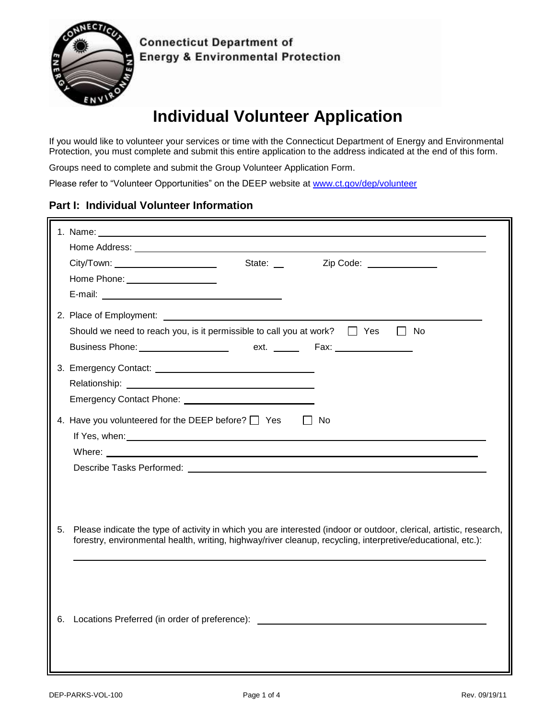

**Connecticut Department of Energy & Environmental Protection** 

# **Individual Volunteer Application**

If you would like to volunteer your services or time with the Connecticut Department of Energy and Environmental Protection, you must complete and submit this entire application to the address indicated at the end of this form.

Groups need to complete and submit the Group Volunteer Application Form.

Please refer to "Volunteer Opportunities" on the DEEP website at [www.ct.gov/dep/volunteer](http://www.ct.gov/dep/volunteer)

#### **Part I: Individual Volunteer Information**

|    | Zip Code: ______________<br>City/Town: _______________________<br>State: __                                                                                                                                                          |
|----|--------------------------------------------------------------------------------------------------------------------------------------------------------------------------------------------------------------------------------------|
|    | Home Phone: ____________________                                                                                                                                                                                                     |
|    |                                                                                                                                                                                                                                      |
|    | 2. Place of Employment: 2008 and 2008 and 2008 and 2008 and 2008 and 2008 and 2008 and 2008 and 2008 and 2008 and 2008 and 2008 and 2008 and 2008 and 2008 and 2008 and 2008 and 2008 and 2008 and 2008 and 2008 and 2008 and        |
|    | Should we need to reach you, is it permissible to call you at work? $\Box$ Yes<br>No<br>$\perp$                                                                                                                                      |
|    |                                                                                                                                                                                                                                      |
|    |                                                                                                                                                                                                                                      |
|    |                                                                                                                                                                                                                                      |
|    |                                                                                                                                                                                                                                      |
|    | 4. Have you volunteered for the DEEP before? <sup>1</sup> Yes<br>l I No                                                                                                                                                              |
|    | If Yes, when: <u>example and the set of the set of the set of the set of the set of the set of the set of the set of the set of the set of the set of the set of the set of the set of the set of the set of the set of the set </u> |
|    |                                                                                                                                                                                                                                      |
|    |                                                                                                                                                                                                                                      |
|    |                                                                                                                                                                                                                                      |
|    |                                                                                                                                                                                                                                      |
|    |                                                                                                                                                                                                                                      |
| 5. | Please indicate the type of activity in which you are interested (indoor or outdoor, clerical, artistic, research,                                                                                                                   |
|    | forestry, environmental health, writing, highway/river cleanup, recycling, interpretive/educational, etc.):                                                                                                                          |
|    |                                                                                                                                                                                                                                      |
|    |                                                                                                                                                                                                                                      |
|    |                                                                                                                                                                                                                                      |
|    |                                                                                                                                                                                                                                      |
|    | 6. Locations Preferred (in order of preference): _______________________________                                                                                                                                                     |
|    |                                                                                                                                                                                                                                      |
|    |                                                                                                                                                                                                                                      |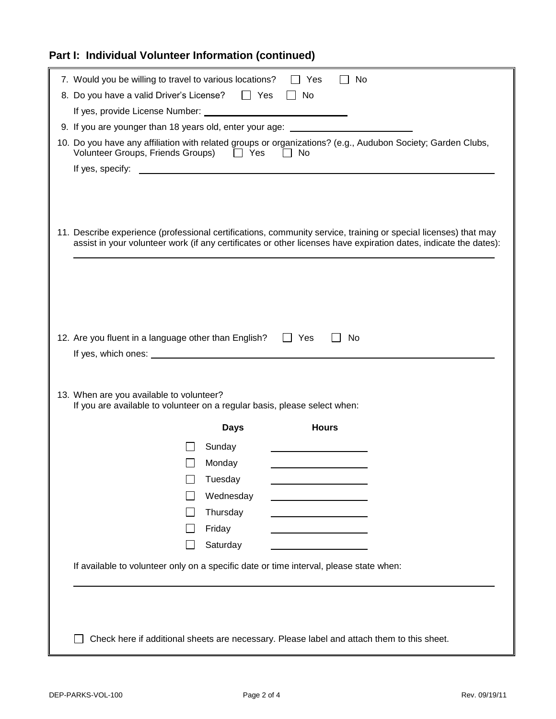# **Part I: Individual Volunteer Information (continued)**

| 7. Would you be willing to travel to various locations?                                |             | Yes          | No                                                                                                               |  |
|----------------------------------------------------------------------------------------|-------------|--------------|------------------------------------------------------------------------------------------------------------------|--|
| 8. Do you have a valid Driver's License?<br>These Sessical Hills Sessingly             |             | $\Box$ No    |                                                                                                                  |  |
|                                                                                        |             |              |                                                                                                                  |  |
| 9. If you are younger than 18 years old, enter your age: _______________________       |             |              |                                                                                                                  |  |
| Volunteer Groups, Friends Groups) □ Yes □ No                                           |             |              | 10. Do you have any affiliation with related groups or organizations? (e.g., Audubon Society; Garden Clubs,      |  |
|                                                                                        |             |              |                                                                                                                  |  |
|                                                                                        |             |              |                                                                                                                  |  |
|                                                                                        |             |              |                                                                                                                  |  |
|                                                                                        |             |              |                                                                                                                  |  |
|                                                                                        |             |              | 11. Describe experience (professional certifications, community service, training or special licenses) that may  |  |
|                                                                                        |             |              | assist in your volunteer work (if any certificates or other licenses have expiration dates, indicate the dates): |  |
|                                                                                        |             |              |                                                                                                                  |  |
|                                                                                        |             |              |                                                                                                                  |  |
|                                                                                        |             |              |                                                                                                                  |  |
|                                                                                        |             |              |                                                                                                                  |  |
|                                                                                        |             |              |                                                                                                                  |  |
| 12. Are you fluent in a language other than English? $\Box$ Yes                        |             |              | No                                                                                                               |  |
|                                                                                        |             |              |                                                                                                                  |  |
|                                                                                        |             |              |                                                                                                                  |  |
| 13. When are you available to volunteer?                                               |             |              |                                                                                                                  |  |
| If you are available to volunteer on a regular basis, please select when:              |             |              |                                                                                                                  |  |
|                                                                                        | <b>Days</b> | <b>Hours</b> |                                                                                                                  |  |
|                                                                                        | Sunday      |              |                                                                                                                  |  |
|                                                                                        | Monday      |              |                                                                                                                  |  |
|                                                                                        | Tuesday     |              |                                                                                                                  |  |
|                                                                                        | Wednesday   |              |                                                                                                                  |  |
|                                                                                        | Thursday    |              |                                                                                                                  |  |
|                                                                                        | Friday      |              |                                                                                                                  |  |
|                                                                                        | Saturday    |              |                                                                                                                  |  |
|                                                                                        |             |              |                                                                                                                  |  |
| If available to volunteer only on a specific date or time interval, please state when: |             |              |                                                                                                                  |  |
|                                                                                        |             |              |                                                                                                                  |  |
|                                                                                        |             |              |                                                                                                                  |  |
|                                                                                        |             |              |                                                                                                                  |  |
|                                                                                        |             |              |                                                                                                                  |  |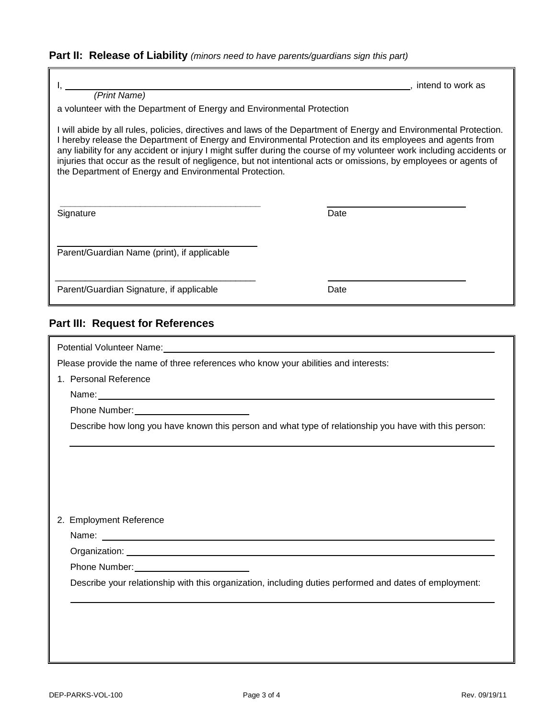**Part II: Release of Liability** *(minors need to have parents/guardians sign this part)*

| (Print Name)                                                                                                                                                                                                                                                                                                                                                                                                                                                                                                                                                                                                     | , intend to work as |  |  |  |  |
|------------------------------------------------------------------------------------------------------------------------------------------------------------------------------------------------------------------------------------------------------------------------------------------------------------------------------------------------------------------------------------------------------------------------------------------------------------------------------------------------------------------------------------------------------------------------------------------------------------------|---------------------|--|--|--|--|
| a volunteer with the Department of Energy and Environmental Protection<br>I will abide by all rules, policies, directives and laws of the Department of Energy and Environmental Protection.<br>I hereby release the Department of Energy and Environmental Protection and its employees and agents from<br>any liability for any accident or injury I might suffer during the course of my volunteer work including accidents or<br>injuries that occur as the result of negligence, but not intentional acts or omissions, by employees or agents of<br>the Department of Energy and Environmental Protection. |                     |  |  |  |  |
| Signature                                                                                                                                                                                                                                                                                                                                                                                                                                                                                                                                                                                                        | Date                |  |  |  |  |
| Parent/Guardian Name (print), if applicable                                                                                                                                                                                                                                                                                                                                                                                                                                                                                                                                                                      |                     |  |  |  |  |
| Parent/Guardian Signature, if applicable                                                                                                                                                                                                                                                                                                                                                                                                                                                                                                                                                                         | Date                |  |  |  |  |
| <b>Part III: Request for References</b>                                                                                                                                                                                                                                                                                                                                                                                                                                                                                                                                                                          |                     |  |  |  |  |
| Potential Volunteer Name:                                                                                                                                                                                                                                                                                                                                                                                                                                                                                                                                                                                        |                     |  |  |  |  |

Please provide the name of three references who know your abilities and interests:

1. Personal Reference

Name:

Phone Number: \_\_\_\_\_\_\_\_\_

Describe how long you have known this person and what type of relationship you have with this person:

2. Employment Reference

Name: We have a strategies of the strategies of the strategies of the strategies of the strategies of the strategies of the strategies of the strategies of the strategies of the strategies of the strategies of the strategi

Organization: University of the Contract of the Contract of the Contract of the Contract of the Contract of the Contract of the Contract of the Contract of the Contract of the Contract of the Contract of the Contract of th

Phone Number:

Describe your relationship with this organization, including duties performed and dates of employment: